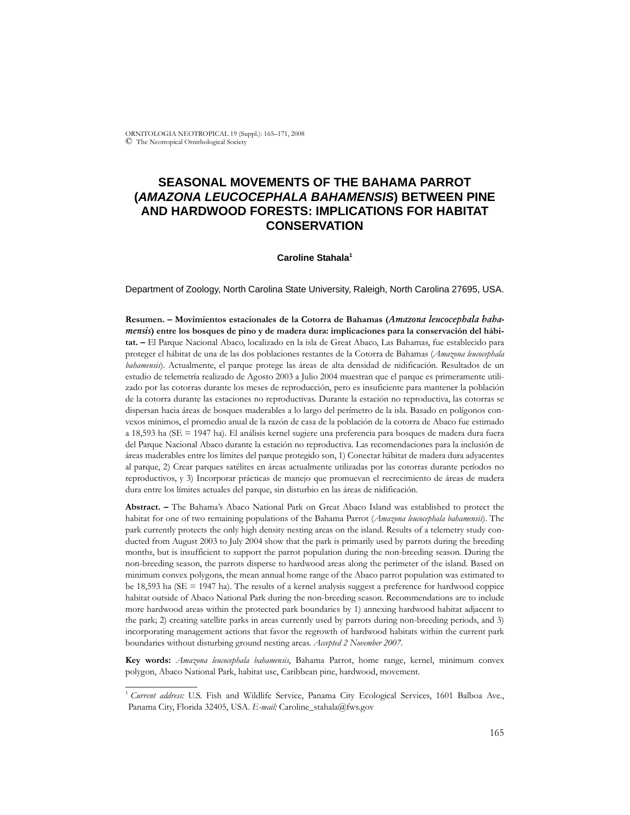ORNITOLOGIA NEOTROPICAL 19 (Suppl.): 165–171, 2008 © The Neotropical Ornithological Society

# **SEASONAL MOVEMENTS OF THE BAHAMA PARROT (***AMAZONA LEUCOCEPHALA BAHAMENSIS***) BETWEEN PINE AND HARDWOOD FORESTS: IMPLICATIONS FOR HABITAT CONSERVATION**

#### **Caroline Stahala1**

Department of Zoology, North Carolina State University, Raleigh, North Carolina 27695, USA.

**Resumen. – Movimientos estacionales de la Cotorra de Bahamas (***Amazona leucocephala bahamensis***) entre los bosques de pino y de madera dura: implicaciones para la conservación del hábitat. –** El Parque Nacional Abaco, localizado en la isla de Great Abaco, Las Bahamas, fue establecido para proteger el hábitat de una de las dos poblaciones restantes de la Cotorra de Bahamas (*Amazona leucocephala bahamensis*). Actualmente, el parque protege las áreas de alta densidad de nidificación. Resultados de un estudio de telemetría realizado de Agosto 2003 a Julio 2004 muestran que el parque es primeramente utilizado por las cotorras durante los meses de reproducción, pero es insuficiente para mantener la población de la cotorra durante las estaciones no reproductivas. Durante la estación no reproductiva, las cotorras se dispersan hacia áreas de bosques maderables a lo largo del perímetro de la isla. Basado en polígonos convexos mínimos, el promedio anual de la razón de casa de la población de la cotorra de Abaco fue estimado a 18,593 ha (SE = 1947 ha). El análisis kernel sugiere una preferencia para bosques de madera dura fuera del Parque Nacional Abaco durante la estación no reproductiva. Las recomendaciones para la inclusión de áreas maderables entre los límites del parque protegido son, 1) Conectar hábitat de madera dura adyacentes al parque, 2) Crear parques satélites en áreas actualmente utilizadas por las cotorras durante períodos no reproductivos, y 3) Incorporar prácticas de manejo que promuevan el recrecimiento de áreas de madera dura entre los límites actuales del parque, sin disturbio en las áreas de nidificación.

**Abstract. –** The Bahama's Abaco National Park on Great Abaco Island was established to protect the habitat for one of two remaining populations of the Bahama Parrot (*Amazona leucocephala bahamensis*). The park currently protects the only high density nesting areas on the island. Results of a telemetry study conducted from August 2003 to July 2004 show that the park is primarily used by parrots during the breeding months, but is insufficient to support the parrot population during the non-breeding season. During the non-breeding season, the parrots disperse to hardwood areas along the perimeter of the island. Based on minimum convex polygons, the mean annual home range of the Abaco parrot population was estimated to be 18,593 ha (SE = 1947 ha). The results of a kernel analysis suggest a preference for hardwood coppice habitat outside of Abaco National Park during the non-breeding season. Recommendations are to include more hardwood areas within the protected park boundaries by 1) annexing hardwood habitat adjacent to the park; 2) creating satellite parks in areas currently used by parrots during non-breeding periods, and 3) incorporating management actions that favor the regrowth of hardwood habitats within the current park boundaries without disturbing ground nesting areas. *Accepted 2 November 2007.*

**Key words:** *Amazona leucocephala bahamensis*, Bahama Parrot, home range, kernel, minimum convex polygon, Abaco National Park, habitat use, Caribbean pine, hardwood, movement.

\_\_\_\_\_\_\_\_\_\_\_\_\_\_

<sup>&</sup>lt;sup>1</sup> Current address: U.S. Fish and Wildlife Service, Panama City Ecological Services, 1601 Balboa Ave., Panama City, Florida 32405, USA. *E-mail:* Caroline\_stahala@fws.gov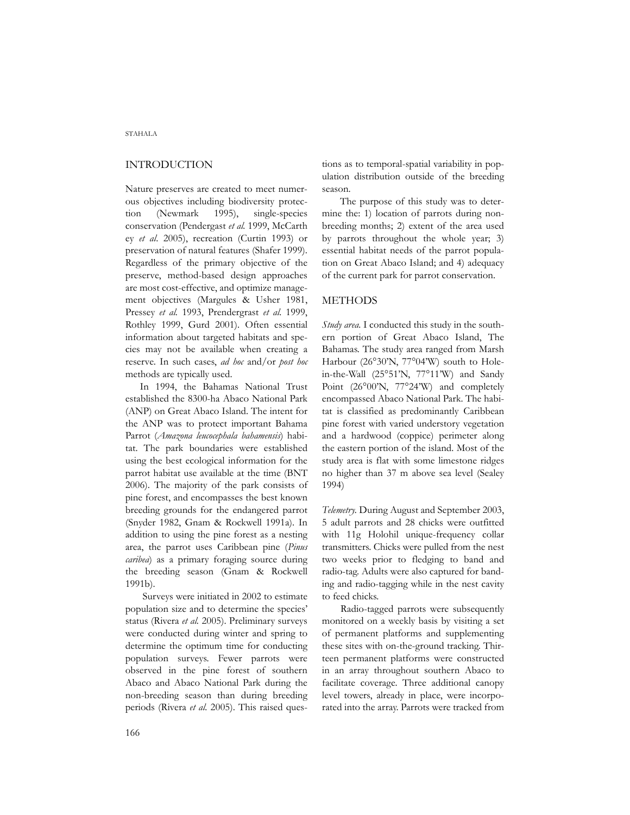# INTRODUCTION

Nature preserves are created to meet numerous objectives including biodiversity protection (Newmark 1995), single-species conservation (Pendergast *et al.* 1999, McCarth ey *et al*. 2005), recreation (Curtin 1993) or preservation of natural features (Shafer 1999). Regardless of the primary objective of the preserve, method-based design approaches are most cost-effective, and optimize management objectives (Margules & Usher 1981, Pressey *et al.* 1993, Prendergrast *et al.* 1999, Rothley 1999, Gurd 2001). Often essential information about targeted habitats and species may not be available when creating a reserve. In such cases, *ad hoc* and/or *post hoc* methods are typically used.

In 1994, the Bahamas National Trust established the 8300-ha Abaco National Park (ANP) on Great Abaco Island. The intent for the ANP was to protect important Bahama Parrot (*Amazona leucocephala bahamensis*) habitat. The park boundaries were established using the best ecological information for the parrot habitat use available at the time (BNT 2006). The majority of the park consists of pine forest, and encompasses the best known breeding grounds for the endangered parrot (Snyder 1982, Gnam & Rockwell 1991a). In addition to using the pine forest as a nesting area, the parrot uses Caribbean pine (*Pinus caribea*) as a primary foraging source during the breeding season (Gnam & Rockwell 1991b).

 Surveys were initiated in 2002 to estimate population size and to determine the species' status (Rivera *et al.* 2005). Preliminary surveys were conducted during winter and spring to determine the optimum time for conducting population surveys. Fewer parrots were observed in the pine forest of southern Abaco and Abaco National Park during the non-breeding season than during breeding periods (Rivera *et al.* 2005). This raised questions as to temporal-spatial variability in population distribution outside of the breeding season.

 The purpose of this study was to determine the: 1) location of parrots during nonbreeding months; 2) extent of the area used by parrots throughout the whole year; 3) essential habitat needs of the parrot population on Great Abaco Island; and 4) adequacy of the current park for parrot conservation.

# METHODS

*Study area.* I conducted this study in the southern portion of Great Abaco Island, The Bahamas. The study area ranged from Marsh Harbour (26°30'N, 77°04'W) south to Holein-the-Wall (25°51'N, 77°11'W) and Sandy Point (26°00'N, 77°24'W) and completely encompassed Abaco National Park. The habitat is classified as predominantly Caribbean pine forest with varied understory vegetation and a hardwood (coppice) perimeter along the eastern portion of the island. Most of the study area is flat with some limestone ridges no higher than 37 m above sea level (Sealey 1994)

*Telemetry.* During August and September 2003, 5 adult parrots and 28 chicks were outfitted with 11g Holohil unique-frequency collar transmitters. Chicks were pulled from the nest two weeks prior to fledging to band and radio-tag. Adults were also captured for banding and radio-tagging while in the nest cavity to feed chicks.

 Radio-tagged parrots were subsequently monitored on a weekly basis by visiting a set of permanent platforms and supplementing these sites with on-the-ground tracking. Thirteen permanent platforms were constructed in an array throughout southern Abaco to facilitate coverage. Three additional canopy level towers, already in place, were incorporated into the array. Parrots were tracked from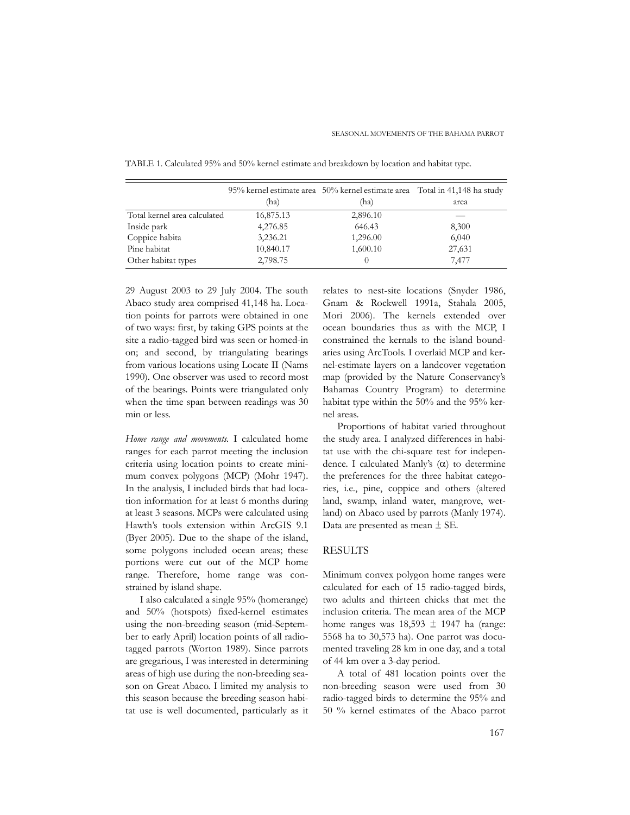|                              | (ha)      | 95% kernel estimate area 50% kernel estimate area Total in 41,148 ha study<br>(ha) | area   |
|------------------------------|-----------|------------------------------------------------------------------------------------|--------|
| Total kernel area calculated | 16,875.13 | 2,896.10                                                                           |        |
| Inside park                  | 4,276.85  | 646.43                                                                             | 8,300  |
| Coppice habita               | 3,236.21  | 1,296.00                                                                           | 6,040  |
| Pine habitat                 | 10,840.17 | 1,600.10                                                                           | 27,631 |
| Other habitat types          | 2,798.75  | $\theta$                                                                           | 7,477  |

TABLE 1. Calculated 95% and 50% kernel estimate and breakdown by location and habitat type.

29 August 2003 to 29 July 2004. The south Abaco study area comprised 41,148 ha. Location points for parrots were obtained in one of two ways: first, by taking GPS points at the site a radio-tagged bird was seen or homed-in on; and second, by triangulating bearings from various locations using Locate II (Nams 1990). One observer was used to record most of the bearings. Points were triangulated only when the time span between readings was 30 min or less.

*Home range and movements.* I calculated home ranges for each parrot meeting the inclusion criteria using location points to create minimum convex polygons (MCP) (Mohr 1947). In the analysis, I included birds that had location information for at least 6 months during at least 3 seasons. MCPs were calculated using Hawth's tools extension within ArcGIS 9.1 (Byer 2005). Due to the shape of the island, some polygons included ocean areas; these portions were cut out of the MCP home range. Therefore, home range was constrained by island shape.

I also calculated a single 95% (homerange) and 50% (hotspots) fixed-kernel estimates using the non-breeding season (mid-September to early April) location points of all radiotagged parrots (Worton 1989). Since parrots are gregarious, I was interested in determining areas of high use during the non-breeding season on Great Abaco. I limited my analysis to this season because the breeding season habitat use is well documented, particularly as it relates to nest-site locations (Snyder 1986, Gnam & Rockwell 1991a, Stahala 2005, Mori 2006). The kernels extended over ocean boundaries thus as with the MCP, I constrained the kernals to the island boundaries using ArcTools. I overlaid MCP and kernel-estimate layers on a landcover vegetation map (provided by the Nature Conservancy's Bahamas Country Program) to determine habitat type within the 50% and the 95% kernel areas.

Proportions of habitat varied throughout the study area. I analyzed differences in habitat use with the chi-square test for independence. I calculated Manly's (α) to determine the preferences for the three habitat categories, i.e., pine, coppice and others (altered land, swamp, inland water, mangrove, wetland) on Abaco used by parrots (Manly 1974). Data are presented as mean ± SE.

#### RESULTS

Minimum convex polygon home ranges were calculated for each of 15 radio-tagged birds, two adults and thirteen chicks that met the inclusion criteria. The mean area of the MCP home ranges was  $18,593 \pm 1947$  ha (range: 5568 ha to 30,573 ha). One parrot was documented traveling 28 km in one day, and a total of 44 km over a 3-day period.

A total of 481 location points over the non-breeding season were used from 30 radio-tagged birds to determine the 95% and 50 % kernel estimates of the Abaco parrot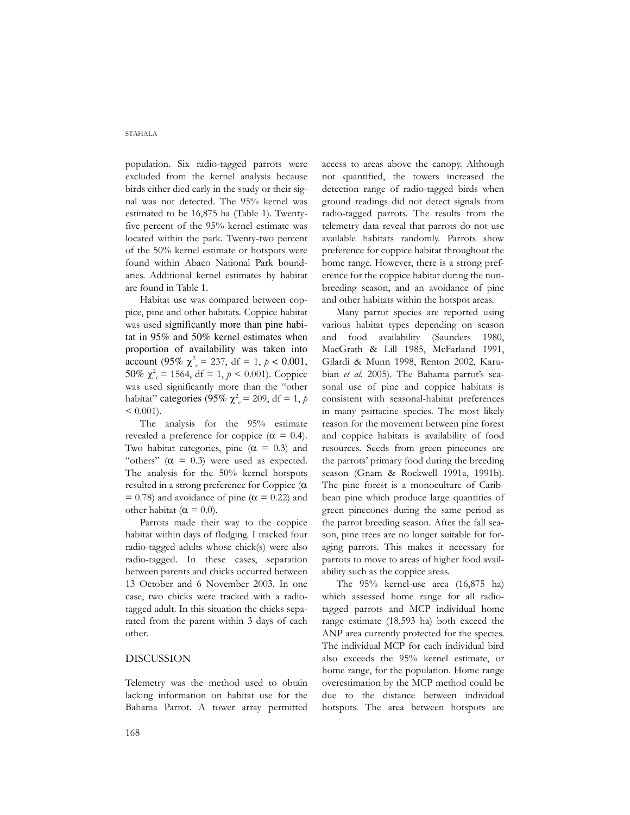#### STAHALA

population. Six radio-tagged parrots were excluded from the kernel analysis because birds either died early in the study or their signal was not detected. The 95% kernel was estimated to be 16,875 ha (Table 1). Twentyfive percent of the 95% kernel estimate was located within the park. Twenty-two percent of the 50% kernel estimate or hotspots were found within Abaco National Park boundaries. Additional kernel estimates by habitat are found in Table 1.

Habitat use was compared between coppice, pine and other habitats. Coppice habitat was used significantly more than pine habitat in 95% and 50% kernel estimates when proportion of availability was taken into account (95%  $\chi^2 = 237$ , df = 1,  $p < 0.001$ , 50%  $\chi^2 = 1564$ , df = 1,  $p < 0.001$ ). Coppice was used significantly more than the "other habitat" categories (95%  $\chi^2 = 209$ , df = 1, p  $< 0.001$ ).

The analysis for the 95% estimate revealed a preference for coppice ( $\alpha = 0.4$ ). Two habitat categories, pine  $(\alpha = 0.3)$  and "others"  $(\alpha = 0.3)$  were used as expected. The analysis for the 50% kernel hotspots resulted in a strong preference for Coppice (α  $= 0.78$ ) and avoidance of pine ( $\alpha = 0.22$ ) and other habitat ( $\alpha = 0.0$ ).

Parrots made their way to the coppice habitat within days of fledging. I tracked four radio-tagged adults whose chick(s) were also radio-tagged. In these cases, separation between parents and chicks occurred between 13 October and 6 November 2003. In one case, two chicks were tracked with a radiotagged adult. In this situation the chicks separated from the parent within 3 days of each other.

# DISCUSSION

Telemetry was the method used to obtain lacking information on habitat use for the Bahama Parrot. A tower array permitted access to areas above the canopy. Although not quantified, the towers increased the detection range of radio-tagged birds when ground readings did not detect signals from radio-tagged parrots. The results from the telemetry data reveal that parrots do not use available habitats randomly. Parrots show preference for coppice habitat throughout the home range. However, there is a strong preference for the coppice habitat during the nonbreeding season, and an avoidance of pine and other habitats within the hotspot areas.

Many parrot species are reported using various habitat types depending on season and food availability (Saunders 1980, MacGrath & Lill 1985, McFarland 1991, Gilardi & Munn 1998, Renton 2002, Karubian *et al.* 2005). The Bahama parrot's seasonal use of pine and coppice habitats is consistent with seasonal-habitat preferences in many psittacine species. The most likely reason for the movement between pine forest and coppice habitats is availability of food resources. Seeds from green pinecones are the parrots' primary food during the breeding season (Gnam & Rockwell 1991a, 1991b). The pine forest is a monoculture of Caribbean pine which produce large quantities of green pinecones during the same period as the parrot breeding season. After the fall season, pine trees are no longer suitable for foraging parrots. This makes it necessary for parrots to move to areas of higher food availability such as the coppice areas.

The 95% kernel-use area (16,875 ha) which assessed home range for all radiotagged parrots and MCP individual home range estimate (18,593 ha) both exceed the ANP area currently protected for the species. The individual MCP for each individual bird also exceeds the 95% kernel estimate, or home range, for the population. Home range overestimation by the MCP method could be due to the distance between individual hotspots. The area between hotspots are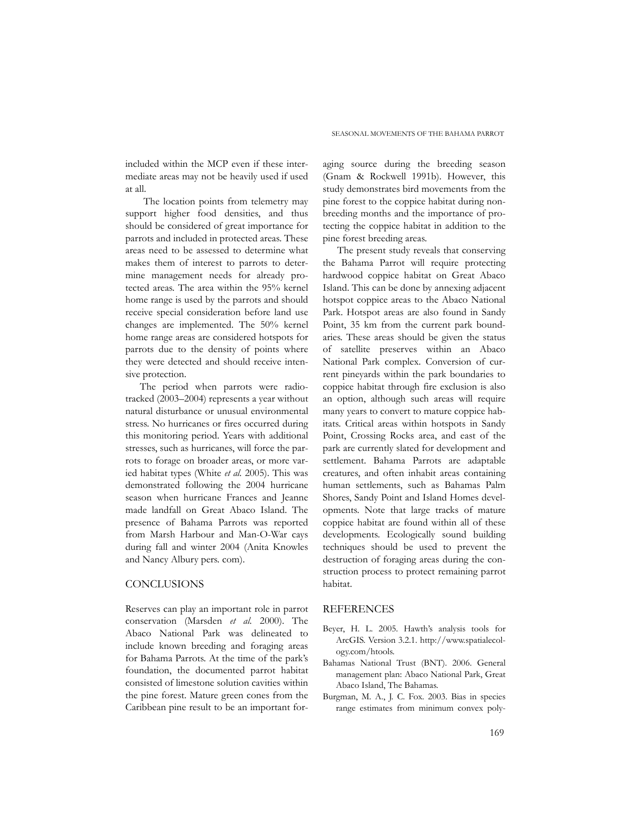included within the MCP even if these intermediate areas may not be heavily used if used at all.

 The location points from telemetry may support higher food densities, and thus should be considered of great importance for parrots and included in protected areas. These areas need to be assessed to determine what makes them of interest to parrots to determine management needs for already protected areas. The area within the 95% kernel home range is used by the parrots and should receive special consideration before land use changes are implemented. The 50% kernel home range areas are considered hotspots for parrots due to the density of points where they were detected and should receive intensive protection.

The period when parrots were radiotracked (2003–2004) represents a year without natural disturbance or unusual environmental stress. No hurricanes or fires occurred during this monitoring period. Years with additional stresses, such as hurricanes, will force the parrots to forage on broader areas, or more varied habitat types (White *et al.* 2005). This was demonstrated following the 2004 hurricane season when hurricane Frances and Jeanne made landfall on Great Abaco Island. The presence of Bahama Parrots was reported from Marsh Harbour and Man-O-War cays during fall and winter 2004 (Anita Knowles and Nancy Albury pers. com).

#### **CONCLUSIONS**

Reserves can play an important role in parrot conservation (Marsden *et al.* 2000). The Abaco National Park was delineated to include known breeding and foraging areas for Bahama Parrots. At the time of the park's foundation, the documented parrot habitat consisted of limestone solution cavities within the pine forest. Mature green cones from the Caribbean pine result to be an important foraging source during the breeding season (Gnam & Rockwell 1991b). However, this study demonstrates bird movements from the pine forest to the coppice habitat during nonbreeding months and the importance of protecting the coppice habitat in addition to the pine forest breeding areas.

The present study reveals that conserving the Bahama Parrot will require protecting hardwood coppice habitat on Great Abaco Island. This can be done by annexing adjacent hotspot coppice areas to the Abaco National Park. Hotspot areas are also found in Sandy Point, 35 km from the current park boundaries. These areas should be given the status of satellite preserves within an Abaco National Park complex. Conversion of current pineyards within the park boundaries to coppice habitat through fire exclusion is also an option, although such areas will require many years to convert to mature coppice habitats. Critical areas within hotspots in Sandy Point, Crossing Rocks area, and east of the park are currently slated for development and settlement. Bahama Parrots are adaptable creatures, and often inhabit areas containing human settlements, such as Bahamas Palm Shores, Sandy Point and Island Homes developments. Note that large tracks of mature coppice habitat are found within all of these developments. Ecologically sound building techniques should be used to prevent the destruction of foraging areas during the construction process to protect remaining parrot habitat.

# REFERENCES

- Beyer, H. L. 2005. Hawth's analysis tools for ArcGIS. Version 3.2.1. http://www.spatialecology.com/htools.
- Bahamas National Trust (BNT). 2006. General management plan: Abaco National Park, Great Abaco Island, The Bahamas.
- Burgman, M. A., J. C. Fox. 2003. Bias in species range estimates from minimum convex poly-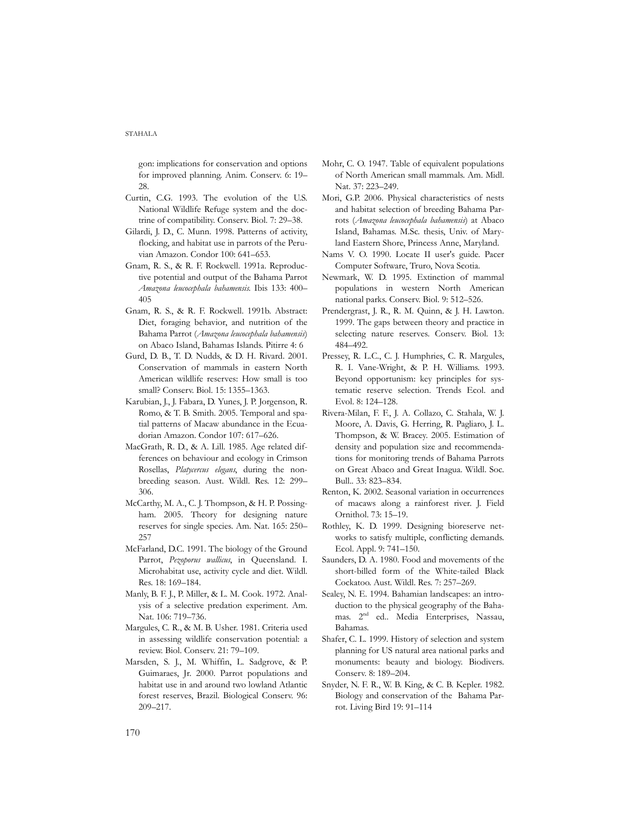gon: implications for conservation and options for improved planning. Anim. Conserv. 6: 19– 28.

- Curtin, C.G. 1993. The evolution of the U.S. National Wildlife Refuge system and the doctrine of compatibility. Conserv. Biol. 7: 29–38.
- Gilardi, J. D., C. Munn. 1998. Patterns of activity, flocking, and habitat use in parrots of the Peruvian Amazon. Condor 100: 641–653.
- Gnam, R. S., & R. F. Rockwell. 1991a. Reproductive potential and output of the Bahama Parrot *Amazona leucocephala bahamensis*. Ibis 133: 400– 405
- Gnam, R. S., & R. F. Rockwell. 1991b. Abstract: Diet, foraging behavior, and nutrition of the Bahama Parrot (*Amazona leucocephala bahamensis*) on Abaco Island, Bahamas Islands. Pitirre 4: 6
- Gurd, D. B., T. D. Nudds, & D. H. Rivard. 2001. Conservation of mammals in eastern North American wildlife reserves: How small is too small? Conserv. Biol. 15: 1355–1363.
- Karubian, J., J. Fabara, D. Yunes, J. P. Jorgenson, R. Romo, & T. B. Smith. 2005. Temporal and spatial patterns of Macaw abundance in the Ecuadorian Amazon. Condor 107: 617–626.
- MacGrath, R. D., & A. Lill. 1985. Age related differences on behaviour and ecology in Crimson Rosellas, *Platycercus elegans*, during the nonbreeding season. Aust. Wildl. Res. 12: 299– 306.
- McCarthy, M. A., C. J. Thompson, & H. P. Possingham. 2005. Theory for designing nature reserves for single species. Am. Nat. 165: 250– 257
- McFarland, D.C. 1991. The biology of the Ground Parrot, *Pezoporus wallicus*, in Queensland. I. Microhabitat use, activity cycle and diet. Wildl. Res. 18: 169–184.
- Manly, B. F. J., P. Miller, & L. M. Cook. 1972. Analysis of a selective predation experiment. Am. Nat. 106: 719–736.
- Margules, C. R., & M. B. Usher. 1981. Criteria used in assessing wildlife conservation potential: a review. Biol. Conserv. 21: 79–109.
- Marsden, S. J., M. Whiffin, L. Sadgrove, & P. Guimaraes, Jr. 2000. Parrot populations and habitat use in and around two lowland Atlantic forest reserves, Brazil. Biological Conserv. 96: 209–217.
- Mohr, C. O. 1947. Table of equivalent populations of North American small mammals. Am. Midl. Nat. 37: 223–249.
- Mori, G.P. 2006. Physical characteristics of nests and habitat selection of breeding Bahama Parrots (*Amazona leucocephala bahamensis*) at Abaco Island, Bahamas. M.Sc. thesis, Univ. of Maryland Eastern Shore, Princess Anne, Maryland.
- Nams V. O. 1990. Locate II user's guide. Pacer Computer Software, Truro, Nova Scotia.
- Newmark, W. D. 1995. Extinction of mammal populations in western North American national parks. Conserv. Biol. 9: 512–526.
- Prendergrast, J. R., R. M. Quinn, & J. H. Lawton. 1999. The gaps between theory and practice in selecting nature reserves. Conserv. Biol. 13: 484–492.
- Pressey, R. L.C., C. J. Humphries, C. R. Margules, R. I. Vane-Wright, & P. H. Williams. 1993. Beyond opportunism: key principles for systematic reserve selection. Trends Ecol. and Evol. 8: 124–128.
- Rivera-Milan, F. F., J. A. Collazo, C. Stahala, W. J. Moore, A. Davis, G. Herring, R. Pagliaro, J. L. Thompson, & W. Bracey. 2005. Estimation of density and population size and recommendations for monitoring trends of Bahama Parrots on Great Abaco and Great Inagua. Wildl. Soc. Bull.. 33: 823–834.
- Renton, K. 2002. Seasonal variation in occurrences of macaws along a rainforest river. J. Field Ornithol. 73: 15–19.
- Rothley, K. D. 1999. Designing bioreserve networks to satisfy multiple, conflicting demands. Ecol. Appl. 9: 741–150.
- Saunders, D. A. 1980. Food and movements of the short-billed form of the White-tailed Black Cockatoo. Aust. Wildl. Res. 7: 257–269.
- Sealey, N. E. 1994. Bahamian landscapes: an introduction to the physical geography of the Bahamas. 2nd ed.. Media Enterprises, Nassau, Bahamas.
- Shafer, C. L. 1999. History of selection and system planning for US natural area national parks and monuments: beauty and biology. Biodivers. Conserv. 8: 189–204.
- Snyder, N. F. R., W. B. King, & C. B. Kepler. 1982. Biology and conservation of the Bahama Parrot. Living Bird 19: 91–114